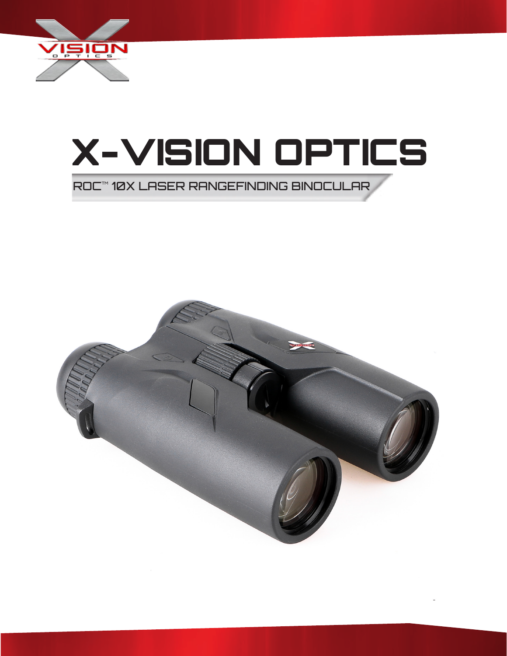



ROCTMØX LASER RANGEFINDING BINOCULAR

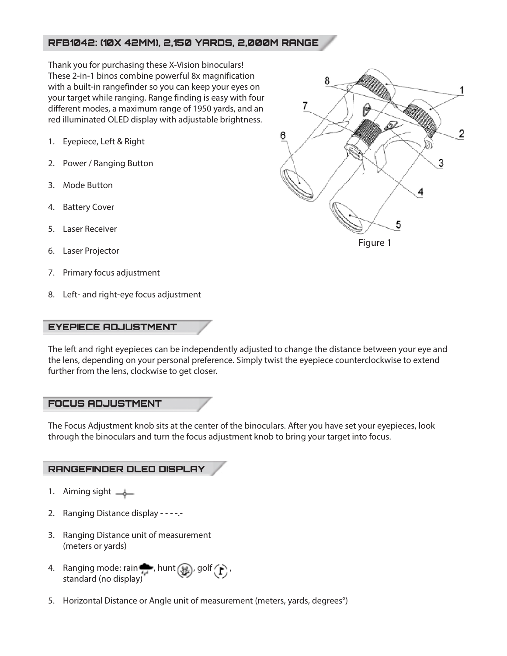## RFB1042: (10X 42MM), 2,150 YARDS, 2,000M RANGE

Thank you for purchasing these X-Vision binoculars! These 2-in-1 binos combine powerful 8x magnification with a built-in rangefinder so you can keep your eyes on your target while ranging. Range finding is easy with four different modes, a maximum range of 1950 yards, and an red illuminated OLED display with adjustable brightness.

- 1. Eyepiece, Left & Right
- 2. Power / Ranging Button
- 3. Mode Button
- 4. Battery Cover
- 5. Laser Receiver
- 6. Laser Projector
- 7. Primary focus adjustment
- 8. Left- and right-eye focus adjustment

#### EYEPIECE ADJUSTMENT

The left and right eyepieces can be independently adjusted to change the distance between your eye and the lens, depending on your personal preference. Simply twist the eyepiece counterclockwise to extend further from the lens, clockwise to get closer.

### FOCUS ADJUSTMENT

The Focus Adjustment knob sits at the center of the binoculars. After you have set your eyepieces, look through the binoculars and turn the focus adjustment knob to bring your target into focus.

### RANGEFINDER OLED DISPLAY

- 1. Aiming sight  $\frac{1}{2}$
- 2. Ranging Distance display - -.-
- 3. Ranging Distance unit of measurement (meters or yards)
- 4. Ranging mode: rain , hunt  $\binom{32}{1}$ , golf  $\binom{1}{1}$ , standard (no display)
- 5. Horizontal Distance or Angle unit of measurement (meters, yards, degrees°)

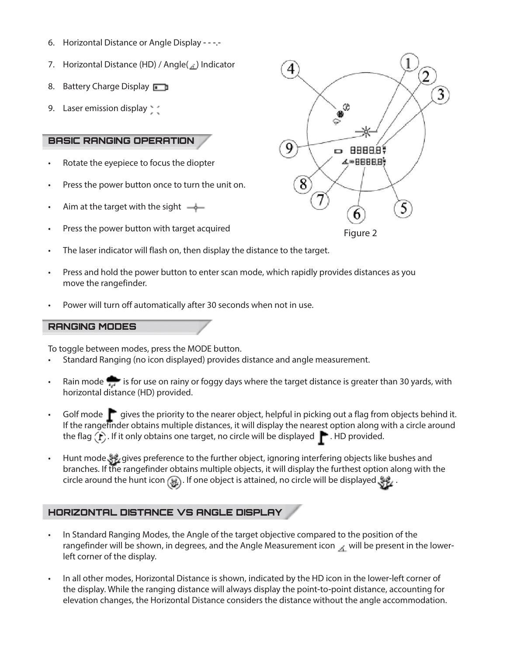- 6. Horizontal Distance or Angle Display - -.-
- 7. Horizontal Distance (HD) / Angle( ) Indicator
- 8. Battery Charge Display
- 9. Laser emission display

## BASIC RANGING OPERATION

- Rotate the eyepiece to focus the diopter
- Press the power button once to turn the unit on.
- Aim at the target with the sight  $\rightarrow$
- Press the power button with target acquired
- The laser indicator will flash on, then display the distance to the target.
- Press and hold the power button to enter scan mode, which rapidly provides distances as you move the rangefinder.
- Power will turn off automatically after 30 seconds when not in use.

### RANGING MODES

To toggle between modes, press the MODE button.

- Standard Ranging (no icon displayed) provides distance and angle measurement.
- Rain mode is for use on rainy or foggy days where the target distance is greater than 30 yards, with horizontal distance (HD) provided.
- Golf mode  $\blacksquare$  gives the priority to the nearer object, helpful in picking out a flag from objects behind it. If the rangefinder obtains multiple distances, it will display the nearest option along with a circle around the flag  $(\Gamma)$ . If it only obtains one target, no circle will be displayed  $\Gamma$ . HD provided.
- Hunt mode gives preference to the further object, ignoring interfering objects like bushes and branches. If the rangefinder obtains multiple objects, it will display the furthest option along with the circle around the hunt icon  $\circledast$ . If one object is attained, no circle will be displayed  $\circledast$ .

# HORIZONTAL DISTANCE VS ANGLE DISPLAY

- In Standard Ranging Modes, the Angle of the target objective compared to the position of the rangefinder will be shown, in degrees, and the Angle Measurement icon  $\mathcal{A}$  will be present in the lowerleft corner of the display.
- In all other modes, Horizontal Distance is shown, indicated by the HD icon in the lower-left corner of the display. While the ranging distance will always display the point-to-point distance, accounting for elevation changes, the Horizontal Distance considers the distance without the angle accommodation.

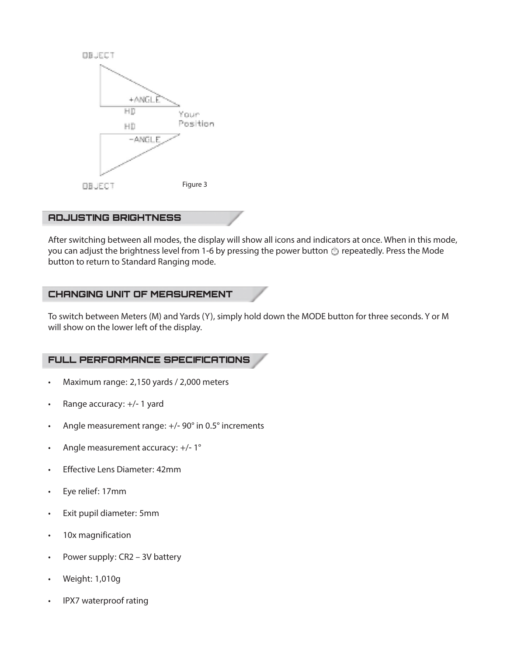

#### ADJUSTING BRIGHTNESS

After switching between all modes, the display will show all icons and indicators at once. When in this mode, you can adjust the brightness level from 1-6 by pressing the power button  $\bigcirc$  repeatedly. Press the Mode button to return to Standard Ranging mode.

### CHANGING UNIT OF MEASUREMENT

To switch between Meters (M) and Yards (Y), simply hold down the MODE button for three seconds. Y or M will show on the lower left of the display.

### FULL PERFORMANCE SPECIFICATIONS

- Maximum range: 2,150 yards / 2,000 meters
- Range accuracy: +/- 1 yard
- Angle measurement range: +/- 90° in 0.5° increments
- Angle measurement accuracy: +/- 1°
- Effective Lens Diameter: 42mm
- Eye relief: 17mm
- Exit pupil diameter: 5mm
- 10x magnification
- Power supply: CR2 3V battery
- Weight: 1,010g
- IPX7 waterproof rating